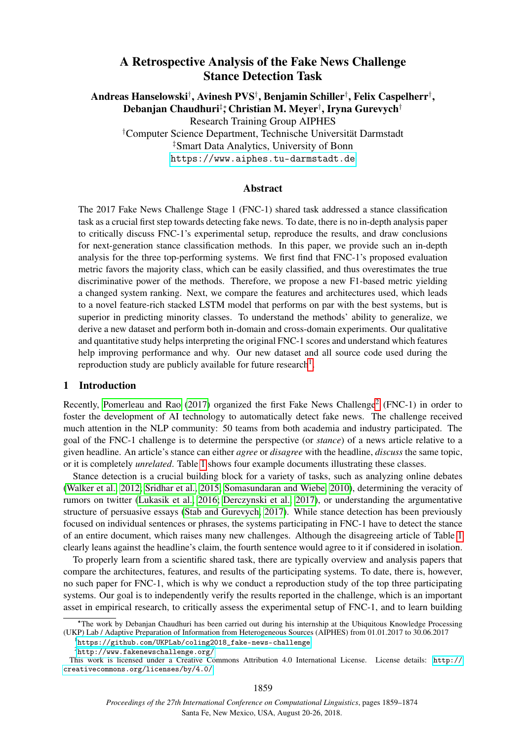# A Retrospective Analysis of the Fake News Challenge Stance Detection Task

Andreas Hanselowski† , Avinesh PVS† , Benjamin Schiller† , Felix Caspelherr† , Debanjan Chaudhuri‡\*, Christian M. Meyer†, Iryna Gurevych†

Research Training Group AIPHES

†Computer Science Department, Technische Universität Darmstadt ‡Smart Data Analytics, University of Bonn <https://www.aiphes.tu-darmstadt.de>

### Abstract

The 2017 Fake News Challenge Stage 1 (FNC-1) shared task addressed a stance classification task as a crucial first step towards detecting fake news. To date, there is no in-depth analysis paper to critically discuss FNC-1's experimental setup, reproduce the results, and draw conclusions for next-generation stance classification methods. In this paper, we provide such an in-depth analysis for the three top-performing systems. We first find that FNC-1's proposed evaluation metric favors the majority class, which can be easily classified, and thus overestimates the true discriminative power of the methods. Therefore, we propose a new F1-based metric yielding a changed system ranking. Next, we compare the features and architectures used, which leads to a novel feature-rich stacked LSTM model that performs on par with the best systems, but is superior in predicting minority classes. To understand the methods' ability to generalize, we derive a new dataset and perform both in-domain and cross-domain experiments. Our qualitative and quantitative study helps interpreting the original FNC-1 scores and understand which features help improving performance and why. Our new dataset and all source code used during the reproduction study are publicly available for future research<sup>[1](#page-0-0)</sup>.

### 1 Introduction

Recently, [Pomerleau and Rao](#page-11-0)  $(2017)$  organized the first Fake News Challenge<sup>[2](#page-0-1)</sup> (FNC-1) in order to foster the development of AI technology to automatically detect fake news. The challenge received much attention in the NLP community: 50 teams from both academia and industry participated. The goal of the FNC-1 challenge is to determine the perspective (or *stance*) of a news article relative to a given headline. An article's stance can either *agree* or *disagree* with the headline, *discuss* the same topic, or it is completely *unrelated*. Table [1](#page-1-0) shows four example documents illustrating these classes.

Stance detection is a crucial building block for a variety of tasks, such as analyzing online debates [\(Walker et al., 2012;](#page-12-0) [Sridhar et al., 2015;](#page-12-1) [Somasundaran and Wiebe, 2010\)](#page-12-2), determining the veracity of rumors on twitter [\(Lukasik et al., 2016;](#page-11-1) [Derczynski et al., 2017\)](#page-10-0), or understanding the argumentative structure of persuasive essays [\(Stab and Gurevych, 2017\)](#page-12-3). While stance detection has been previously focused on individual sentences or phrases, the systems participating in FNC-1 have to detect the stance of an entire document, which raises many new challenges. Although the disagreeing article of Table [1](#page-1-0) clearly leans against the headline's claim, the fourth sentence would agree to it if considered in isolation.

To properly learn from a scientific shared task, there are typically overview and analysis papers that compare the architectures, features, and results of the participating systems. To date, there is, however, no such paper for FNC-1, which is why we conduct a reproduction study of the top three participating systems. Our goal is to independently verify the results reported in the challenge, which is an important asset in empirical research, to critically assess the experimental setup of FNC-1, and to learn building

<span id="page-0-0"></span>1 [https://github.com/UKPLab/coling2018\\_fake-news-challenge](https://github.com/UKPLab/coling2018_fake-news-challenge)

<sup>∗</sup>?The work by Debanjan Chaudhuri has been carried out during his internship at the Ubiquitous Knowledge Processing (UKP) Lab / Adaptive Preparation of Information from Heterogeneous Sources (AIPHES) from 01.01.2017 to 30.06.2017

<span id="page-0-1"></span> $^{2}$ <http://www.fakenewschallenge.org/>

This work is licensed under a Creative Commons Attribution 4.0 International License. License details: [http://](http://creativecommons.org/licenses/by/4.0/) [creativecommons.org/licenses/by/4.0/](http://creativecommons.org/licenses/by/4.0/)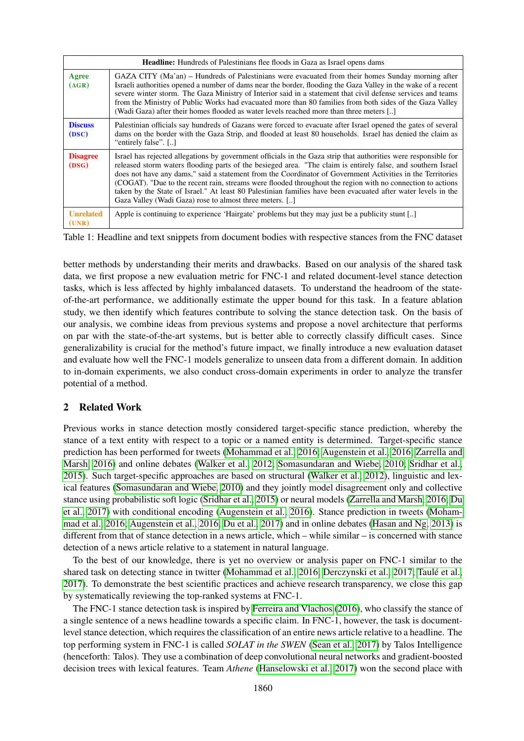<span id="page-1-0"></span>

|                           | <b>Headline:</b> Hundreds of Palestinians flee floods in Gaza as Israel opens dams                                                                                                                                                                                                                                                                                                                                                                                                                                                                                                                                                      |  |  |  |  |  |  |  |
|---------------------------|-----------------------------------------------------------------------------------------------------------------------------------------------------------------------------------------------------------------------------------------------------------------------------------------------------------------------------------------------------------------------------------------------------------------------------------------------------------------------------------------------------------------------------------------------------------------------------------------------------------------------------------------|--|--|--|--|--|--|--|
| Agree<br>(AGR)            | GAZA CITY (Ma'an) – Hundreds of Palestinians were evacuated from their homes Sunday morning after<br>Israeli authorities opened a number of dams near the border, flooding the Gaza Valley in the wake of a recent<br>severe winter storm. The Gaza Ministry of Interior said in a statement that civil defense services and teams<br>from the Ministry of Public Works had evacuated more than 80 families from both sides of the Gaza Valley<br>(Wadi Gaza) after their homes flooded as water levels reached more than three meters []                                                                                               |  |  |  |  |  |  |  |
| <b>Discuss</b><br>(DSC)   | Palestinian officials say hundreds of Gazans were forced to evacuate after Israel opened the gates of several<br>dams on the border with the Gaza Strip, and flooded at least 80 households. Israel has denied the claim as<br>"entirely false". []                                                                                                                                                                                                                                                                                                                                                                                     |  |  |  |  |  |  |  |
| <b>Disagree</b><br>(DSG)  | Israel has rejected allegations by government officials in the Gaza strip that authorities were responsible for<br>released storm waters flooding parts of the besieged area. "The claim is entirely false, and southern Israel<br>does not have any dams," said a statement from the Coordinator of Government Activities in the Territories<br>(COGAT). "Due to the recent rain, streams were flooded throughout the region with no connection to actions<br>taken by the State of Israel." At least 80 Palestinian families have been evacuated after water levels in the<br>Gaza Valley (Wadi Gaza) rose to almost three meters. [] |  |  |  |  |  |  |  |
| <b>Unrelated</b><br>(UNR) | Apple is continuing to experience 'Hairgate' problems but they may just be a publicity stunt []                                                                                                                                                                                                                                                                                                                                                                                                                                                                                                                                         |  |  |  |  |  |  |  |

Table 1: Headline and text snippets from document bodies with respective stances from the FNC dataset

better methods by understanding their merits and drawbacks. Based on our analysis of the shared task data, we first propose a new evaluation metric for FNC-1 and related document-level stance detection tasks, which is less affected by highly imbalanced datasets. To understand the headroom of the stateof-the-art performance, we additionally estimate the upper bound for this task. In a feature ablation study, we then identify which features contribute to solving the stance detection task. On the basis of our analysis, we combine ideas from previous systems and propose a novel architecture that performs on par with the state-of-the-art systems, but is better able to correctly classify difficult cases. Since generalizability is crucial for the method's future impact, we finally introduce a new evaluation dataset and evaluate how well the FNC-1 models generalize to unseen data from a different domain. In addition to in-domain experiments, we also conduct cross-domain experiments in order to analyze the transfer potential of a method.

## 2 Related Work

Previous works in stance detection mostly considered target-specific stance prediction, whereby the stance of a text entity with respect to a topic or a named entity is determined. Target-specific stance prediction has been performed for tweets [\(Mohammad et al., 2016;](#page-11-2) [Augenstein et al., 2016;](#page-10-1) [Zarrella and](#page-12-4) [Marsh, 2016\)](#page-12-4) and online debates [\(Walker et al., 2012;](#page-12-0) [Somasundaran and Wiebe, 2010;](#page-12-2) [Sridhar et al.,](#page-12-1) [2015\)](#page-12-1). Such target-specific approaches are based on structural [\(Walker et al., 2012\)](#page-12-0), linguistic and lexical features [\(Somasundaran and Wiebe, 2010\)](#page-12-2) and they jointly model disagreement only and collective stance using probabilistic soft logic [\(Sridhar et al., 2015\)](#page-12-1) or neural models [\(Zarrella and Marsh, 2016;](#page-12-4) [Du](#page-10-2) [et al., 2017\)](#page-10-2) with conditional encoding [\(Augenstein et al., 2016\)](#page-10-1). Stance prediction in tweets [\(Moham](#page-11-2)[mad et al., 2016;](#page-11-2) [Augenstein et al., 2016;](#page-10-1) [Du et al., 2017\)](#page-10-2) and in online debates [\(Hasan and Ng, 2013\)](#page-10-3) is different from that of stance detection in a news article, which – while similar – is concerned with stance detection of a news article relative to a statement in natural language.

To the best of our knowledge, there is yet no overview or analysis paper on FNC-1 similar to the shared task on detecting stance in twitter [\(Mohammad et al., 2016;](#page-11-2) [Derczynski et al., 2017;](#page-10-0) [Taulé et al.,](#page-12-5) [2017\)](#page-12-5). To demonstrate the best scientific practices and achieve research transparency, we close this gap by systematically reviewing the top-ranked systems at FNC-1.

The FNC-1 stance detection task is inspired by [Ferreira and Vlachos](#page-10-4) [\(2016\)](#page-10-4), who classify the stance of a single sentence of a news headline towards a specific claim. In FNC-1, however, the task is documentlevel stance detection, which requires the classification of an entire news article relative to a headline. The top performing system in FNC-1 is called *SOLAT in the SWEN* [\(Sean et al., 2017\)](#page-12-6) by Talos Intelligence (henceforth: Talos). They use a combination of deep convolutional neural networks and gradient-boosted decision trees with lexical features. Team *Athene* [\(Hanselowski et al., 2017\)](#page-10-5) won the second place with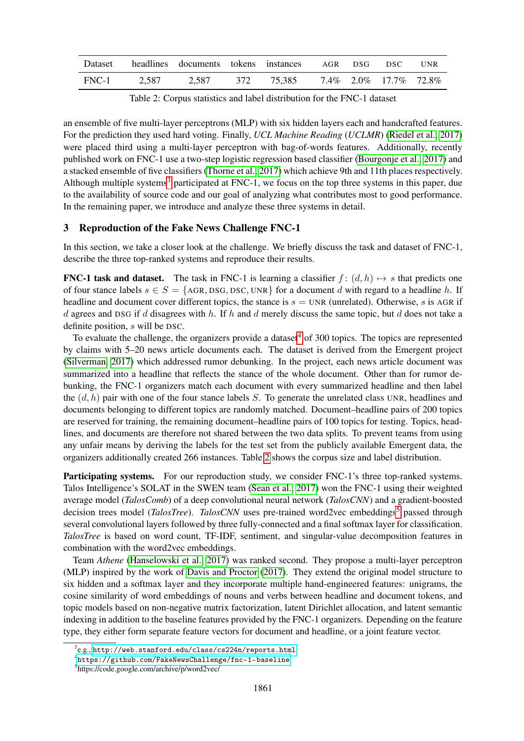<span id="page-2-2"></span>

| Dataset |       | headlines documents tokens instances AGR DSG |            |  | DSC –                       | <b>IINR</b> |
|---------|-------|----------------------------------------------|------------|--|-----------------------------|-------------|
| FNC-1   | 2,587 | 2,587                                        | 372 75,385 |  | $7.4\%$ 2.0\% 17.7\% 72.8\% |             |

Table 2: Corpus statistics and label distribution for the FNC-1 dataset

an ensemble of five multi-layer perceptrons (MLP) with six hidden layers each and handcrafted features. For the prediction they used hard voting. Finally, *UCL Machine Reading* (*UCLMR*) [\(Riedel et al., 2017\)](#page-11-3) were placed third using a multi-layer perceptron with bag-of-words features. Additionally, recently published work on FNC-1 use a two-step logistic regression based classifier [\(Bourgonje et al., 2017\)](#page-10-6) and a stacked ensemble of five classifiers [\(Thorne et al., 2017\)](#page-12-7) which achieve 9th and 11th places respectively. Although multiple systems<sup>[3](#page-2-0)</sup> participated at FNC-1, we focus on the top three systems in this paper, due to the availability of source code and our goal of analyzing what contributes most to good performance. In the remaining paper, we introduce and analyze these three systems in detail.

## 3 Reproduction of the Fake News Challenge FNC-1

In this section, we take a closer look at the challenge. We briefly discuss the task and dataset of FNC-1, describe the three top-ranked systems and reproduce their results.

**FNC-1 task and dataset.** The task in FNC-1 is learning a classifier  $f : (d, h) \rightarrow s$  that predicts one of four stance labels  $s \in S = \{AGR, DSG, DSC, UNR\}$  for a document d with regard to a headline h. If headline and document cover different topics, the stance is  $s = UNR$  (unrelated). Otherwise, s is AGR if d agrees and DSG if d disagrees with h. If h and d merely discuss the same topic, but d does not take a definite position, s will be DSC.

To evaluate the challenge, the organizers provide a dataset<sup>[4](#page-2-1)</sup> of 300 topics. The topics are represented by claims with 5–20 news article documents each. The dataset is derived from the Emergent project [\(Silverman, 2017\)](#page-12-8) which addressed rumor debunking. In the project, each news article document was summarized into a headline that reflects the stance of the whole document. Other than for rumor debunking, the FNC-1 organizers match each document with every summarized headline and then label the  $(d, h)$  pair with one of the four stance labels S. To generate the unrelated class UNR, headlines and documents belonging to different topics are randomly matched. Document–headline pairs of 200 topics are reserved for training, the remaining document–headline pairs of 100 topics for testing. Topics, headlines, and documents are therefore not shared between the two data splits. To prevent teams from using any unfair means by deriving the labels for the test set from the publicly available Emergent data, the organizers additionally created 266 instances. Table [2](#page-2-2) shows the corpus size and label distribution.

Participating systems. For our reproduction study, we consider FNC-1's three top-ranked systems. Talos Intelligence's SOLAT in the SWEN team [\(Sean et al., 2017\)](#page-12-6) won the FNC-1 using their weighted average model (*TalosComb*) of a deep convolutional neural network (*TalosCNN*) and a gradient-boosted decision trees model (*TalosTree*). *TalosCNN* uses pre-trained word2vec embeddings<sup>[5](#page-2-3)</sup> passed through several convolutional layers followed by three fully-connected and a final softmax layer for classification. *TalosTree* is based on word count, TF-IDF, sentiment, and singular-value decomposition features in combination with the word2vec embeddings.

Team *Athene* [\(Hanselowski et al., 2017\)](#page-10-5) was ranked second. They propose a multi-layer perceptron (MLP) inspired by the work of [Davis and Proctor](#page-10-7) [\(2017\)](#page-10-7). They extend the original model structure to six hidden and a softmax layer and they incorporate multiple hand-engineered features: unigrams, the cosine similarity of word embeddings of nouns and verbs between headline and document tokens, and topic models based on non-negative matrix factorization, latent Dirichlet allocation, and latent semantic indexing in addition to the baseline features provided by the FNC-1 organizers. Depending on the feature type, they either form separate feature vectors for document and headline, or a joint feature vector.

<span id="page-2-0"></span> $^3$ e.g., <http://web.stanford.edu/class/cs224n/reports.html>

<span id="page-2-1"></span><sup>4</sup> <https://github.com/FakeNewsChallenge/fnc-1-baseline>

<span id="page-2-3"></span><sup>5</sup> https://code.google.com/archive/p/word2vec/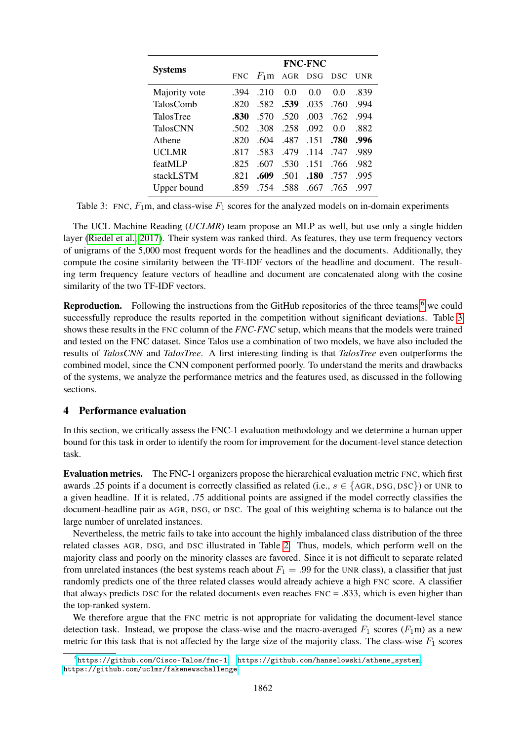<span id="page-3-1"></span>

|                  |            | <b>FNC-FNC</b> |      |         |      |            |  |  |  |  |
|------------------|------------|----------------|------|---------|------|------------|--|--|--|--|
| <b>Systems</b>   | <b>FNC</b> | $F_1$ m        |      | AGR DSG | DSC. | <b>UNR</b> |  |  |  |  |
| Majority vote    | .394       | .210           | 0.0  | 0.0     | 0.0  | .839       |  |  |  |  |
| <b>TalosComb</b> | .820       | .582           | .539 | .035    | .760 | .994       |  |  |  |  |
| <b>TalosTree</b> | .830       | .570           | .520 | .003    | .762 | .994       |  |  |  |  |
| <b>TalosCNN</b>  | -502       | .308           | .258 | .092    | 00   | .882       |  |  |  |  |
| Athene           | -820       | .604           | .487 | .151    | .780 | .996       |  |  |  |  |
| <b>UCLMR</b>     | .817       | .583           | .479 | .114    | 747  | .989       |  |  |  |  |
| featMLP          | .825       | .607           | .530 | .151    | .766 | .982       |  |  |  |  |
| stackLSTM        | -821       | .609           | .501 | .180    | 757  | .995       |  |  |  |  |
| Upper bound      | -859       | .754           | .588 | .667    | .765 | -997       |  |  |  |  |

Table 3: FNC,  $F_1$ m, and class-wise  $F_1$  scores for the analyzed models on in-domain experiments

The UCL Machine Reading (*UCLMR*) team propose an MLP as well, but use only a single hidden layer [\(Riedel et al., 2017\)](#page-11-3). Their system was ranked third. As features, they use term frequency vectors of unigrams of the 5,000 most frequent words for the headlines and the documents. Additionally, they compute the cosine similarity between the TF-IDF vectors of the headline and document. The resulting term frequency feature vectors of headline and document are concatenated along with the cosine similarity of the two TF-IDF vectors.

**Reproduction.** Following the instructions from the GitHub repositories of the three teams,<sup>[6](#page-3-0)</sup> we could successfully reproduce the results reported in the competition without significant deviations. Table [3](#page-3-1) shows these results in the FNC column of the *FNC-FNC* setup, which means that the models were trained and tested on the FNC dataset. Since Talos use a combination of two models, we have also included the results of *TalosCNN* and *TalosTree*. A first interesting finding is that *TalosTree* even outperforms the combined model, since the CNN component performed poorly. To understand the merits and drawbacks of the systems, we analyze the performance metrics and the features used, as discussed in the following sections.

### 4 Performance evaluation

In this section, we critically assess the FNC-1 evaluation methodology and we determine a human upper bound for this task in order to identify the room for improvement for the document-level stance detection task.

Evaluation metrics. The FNC-1 organizers propose the hierarchical evaluation metric FNC, which first awards .25 points if a document is correctly classified as related (i.e.,  $s \in \{AGR, DSG, DSC\}$ ) or UNR to a given headline. If it is related, .75 additional points are assigned if the model correctly classifies the document-headline pair as AGR, DSG, or DSC. The goal of this weighting schema is to balance out the large number of unrelated instances.

Nevertheless, the metric fails to take into account the highly imbalanced class distribution of the three related classes AGR, DSG, and DSC illustrated in Table [2.](#page-2-2) Thus, models, which perform well on the majority class and poorly on the minority classes are favored. Since it is not difficult to separate related from unrelated instances (the best systems reach about  $F_1 = .99$  for the UNR class), a classifier that just randomly predicts one of the three related classes would already achieve a high FNC score. A classifier that always predicts DSC for the related documents even reaches FNC = .833, which is even higher than the top-ranked system.

We therefore argue that the FNC metric is not appropriate for validating the document-level stance detection task. Instead, we propose the class-wise and the macro-averaged  $F_1$  scores  $(F_1m)$  as a new metric for this task that is not affected by the large size of the majority class. The class-wise  $F_1$  scores

<span id="page-3-0"></span> $^6$ <https://github.com/Cisco-Talos/fnc-1>; [https://github.com/hanselowski/athene\\_system](https://github.com/hanselowski/athene_system); <https://github.com/uclmr/fakenewschallenge>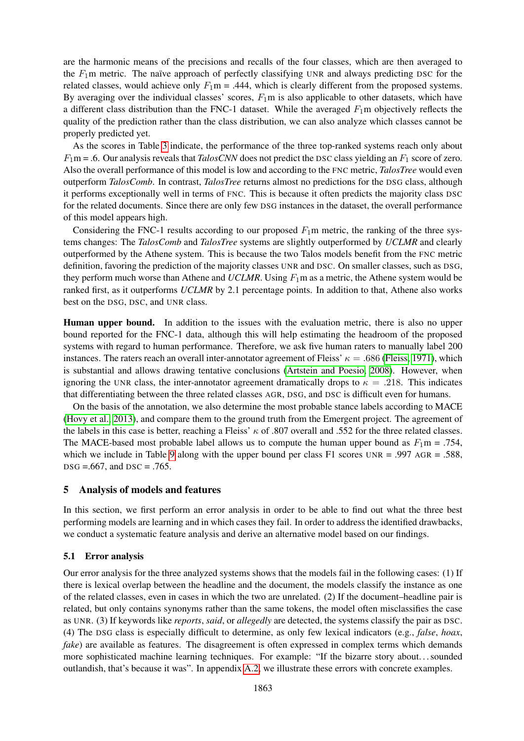are the harmonic means of the precisions and recalls of the four classes, which are then averaged to the  $F_1$ m metric. The naïve approach of perfectly classifying UNR and always predicting DSC for the related classes, would achieve only  $F_1$ m = .444, which is clearly different from the proposed systems. By averaging over the individual classes' scores,  $F_1$ m is also applicable to other datasets, which have a different class distribution than the FNC-1 dataset. While the averaged  $F_1$ m objectively reflects the quality of the prediction rather than the class distribution, we can also analyze which classes cannot be properly predicted yet.

As the scores in Table [3](#page-3-1) indicate, the performance of the three top-ranked systems reach only about  $F_1$ m = .6. Our analysis reveals that *TalosCNN* does not predict the DSC class yielding an  $F_1$  score of zero. Also the overall performance of this model is low and according to the FNC metric, *TalosTree* would even outperform *TalosComb*. In contrast, *TalosTree* returns almost no predictions for the DSG class, although it performs exceptionally well in terms of FNC. This is because it often predicts the majority class DSC for the related documents. Since there are only few DSG instances in the dataset, the overall performance of this model appears high.

Considering the FNC-1 results according to our proposed  $F_1$ m metric, the ranking of the three systems changes: The *TalosComb* and *TalosTree* systems are slightly outperformed by *UCLMR* and clearly outperformed by the Athene system. This is because the two Talos models benefit from the FNC metric definition, favoring the prediction of the majority classes UNR and DSC. On smaller classes, such as DSG, they perform much worse than Athene and *UCLMR*. Using  $F_1$ m as a metric, the Athene system would be ranked first, as it outperforms *UCLMR* by 2.1 percentage points. In addition to that, Athene also works best on the DSG, DSC, and UNR class.

Human upper bound. In addition to the issues with the evaluation metric, there is also no upper bound reported for the FNC-1 data, although this will help estimating the headroom of the proposed systems with regard to human performance. Therefore, we ask five human raters to manually label 200 instances. The raters reach an overall inter-annotator agreement of Fleiss'  $\kappa = .686$  [\(Fleiss, 1971\)](#page-10-8), which is substantial and allows drawing tentative conclusions [\(Artstein and Poesio, 2008\)](#page-9-0). However, when ignoring the UNR class, the inter-annotator agreement dramatically drops to  $\kappa = .218$ . This indicates that differentiating between the three related classes AGR, DSG, and DSC is difficult even for humans.

On the basis of the annotation, we also determine the most probable stance labels according to MACE [\(Hovy et al., 2013\)](#page-11-4), and compare them to the ground truth from the Emergent project. The agreement of the labels in this case is better, reaching a Fleiss'  $\kappa$  of .807 overall and .552 for the three related classes. The MACE-based most probable label allows us to compute the human upper bound as  $F_1$ m = .754, which we include in Table [9](#page-9-1) along with the upper bound per class F1 scores  $UNR = .997$  AGR = .588,  $DSG = .667$ , and  $DSC = .765$ .

#### 5 Analysis of models and features

In this section, we first perform an error analysis in order to be able to find out what the three best performing models are learning and in which cases they fail. In order to address the identified drawbacks, we conduct a systematic feature analysis and derive an alternative model based on our findings.

### 5.1 Error analysis

Our error analysis for the three analyzed systems shows that the models fail in the following cases: (1) If there is lexical overlap between the headline and the document, the models classify the instance as one of the related classes, even in cases in which the two are unrelated. (2) If the document–headline pair is related, but only contains synonyms rather than the same tokens, the model often misclassifies the case as UNR. (3) If keywords like *reports*, *said*, or *allegedly* are detected, the systems classify the pair as DSC. (4) The DSG class is especially difficult to determine, as only few lexical indicators (e.g., *false*, *hoax*, *fake*) are available as features. The disagreement is often expressed in complex terms which demands more sophisticated machine learning techniques. For example: "If the bizarre story about. . . sounded outlandish, that's because it was". In appendix [A.2,](#page-14-0) we illustrate these errors with concrete examples.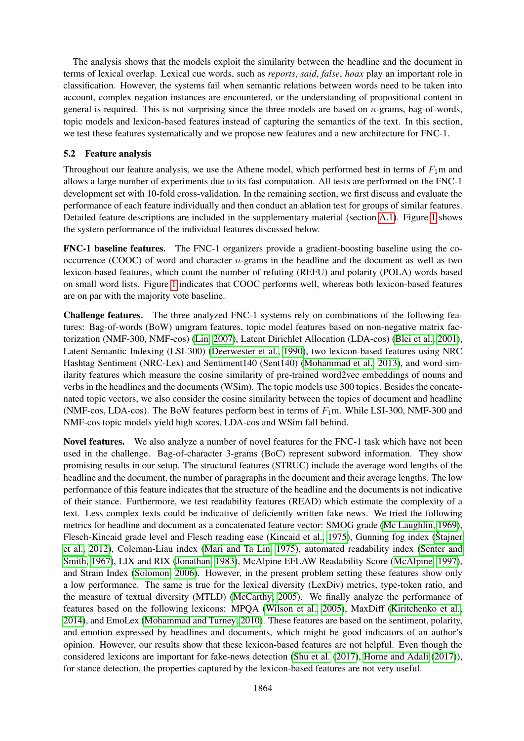The analysis shows that the models exploit the similarity between the headline and the document in terms of lexical overlap. Lexical cue words, such as *reports*, *said*, *false*, *hoax* play an important role in classification. However, the systems fail when semantic relations between words need to be taken into account, complex negation instances are encountered, or the understanding of propositional content in general is required. This is not surprising since the three models are based on  $n$ -grams, bag-of-words, topic models and lexicon-based features instead of capturing the semantics of the text. In this section, we test these features systematically and we propose new features and a new architecture for FNC-1.

## 5.2 Feature analysis

Throughout our feature analysis, we use the Athene model, which performed best in terms of  $F_1$ m and allows a large number of experiments due to its fast computation. All tests are performed on the FNC-1 development set with 10-fold cross-validation. In the remaining section, we first discuss and evaluate the performance of each feature individually and then conduct an ablation test for groups of similar features. Detailed feature descriptions are included in the supplementary material (section [A.1\)](#page-13-0). Figure [1](#page-6-0) shows the system performance of the individual features discussed below.

FNC-1 baseline features. The FNC-1 organizers provide a gradient-boosting baseline using the cooccurrence (COOC) of word and character  $n$ -grams in the headline and the document as well as two lexicon-based features, which count the number of refuting (REFU) and polarity (POLA) words based on small word lists. Figure [1](#page-6-0) indicates that COOC performs well, whereas both lexicon-based features are on par with the majority vote baseline.

Challenge features. The three analyzed FNC-1 systems rely on combinations of the following features: Bag-of-words (BoW) unigram features, topic model features based on non-negative matrix factorization (NMF-300, NMF-cos) [\(Lin, 2007\)](#page-11-5), Latent Dirichlet Allocation (LDA-cos) [\(Blei et al., 2001\)](#page-10-9), Latent Semantic Indexing (LSI-300) [\(Deerwester et al., 1990\)](#page-10-10), two lexicon-based features using NRC Hashtag Sentiment (NRC-Lex) and Sentiment140 (Sent140) [\(Mohammad et al., 2013\)](#page-11-6), and word similarity features which measure the cosine similarity of pre-trained word2vec embeddings of nouns and verbs in the headlines and the documents (WSim). The topic models use 300 topics. Besides the concatenated topic vectors, we also consider the cosine similarity between the topics of document and headline (NMF-cos, LDA-cos). The BoW features perform best in terms of  $F_1$ m. While LSI-300, NMF-300 and NMF-cos topic models yield high scores, LDA-cos and WSim fall behind.

Novel features. We also analyze a number of novel features for the FNC-1 task which have not been used in the challenge. Bag-of-character 3-grams (BoC) represent subword information. They show promising results in our setup. The structural features (STRUC) include the average word lengths of the headline and the document, the number of paragraphs in the document and their average lengths. The low performance of this feature indicates that the structure of the headline and the documents is not indicative of their stance. Furthermore, we test readability features (READ) which estimate the complexity of a text. Less complex texts could be indicative of deficiently written fake news. We tried the following metrics for headline and document as a concatenated feature vector: SMOG grade [\(Mc Laughlin, 1969\)](#page-11-7), Flesch-Kincaid grade level and Flesch reading ease [\(Kincaid et al., 1975\)](#page-11-8), Gunning fog index [\(Štajner](#page-12-9) [et al., 2012\)](#page-12-9), Coleman-Liau index [\(Mari and Ta Lin, 1975\)](#page-11-9), automated readability index [\(Senter and](#page-12-10) [Smith, 1967\)](#page-12-10), LIX and RIX [\(Jonathan, 1983\)](#page-11-10), McAlpine EFLAW Readability Score [\(McAlpine, 1997\)](#page-11-11), and Strain Index [\(Solomon, 2006\)](#page-12-11). However, in the present problem setting these features show only a low performance. The same is true for the lexical diversity (LexDiv) metrics, type-token ratio, and the measure of textual diversity (MTLD) [\(McCarthy, 2005\)](#page-11-12). We finally analyze the performance of features based on the following lexicons: MPQA [\(Wilson et al., 2005\)](#page-12-12), MaxDiff [\(Kiritchenko et al.,](#page-11-13) [2014\)](#page-11-13), and EmoLex [\(Mohammad and Turney, 2010\)](#page-11-14). These features are based on the sentiment, polarity, and emotion expressed by headlines and documents, which might be good indicators of an author's opinion. However, our results show that these lexicon-based features are not helpful. Even though the considered lexicons are important for fake-news detection [\(Shu et al.](#page-12-13) [\(2017\)](#page-12-13), [Horne and Adali](#page-10-11) [\(2017\)](#page-10-11)), for stance detection, the properties captured by the lexicon-based features are not very useful.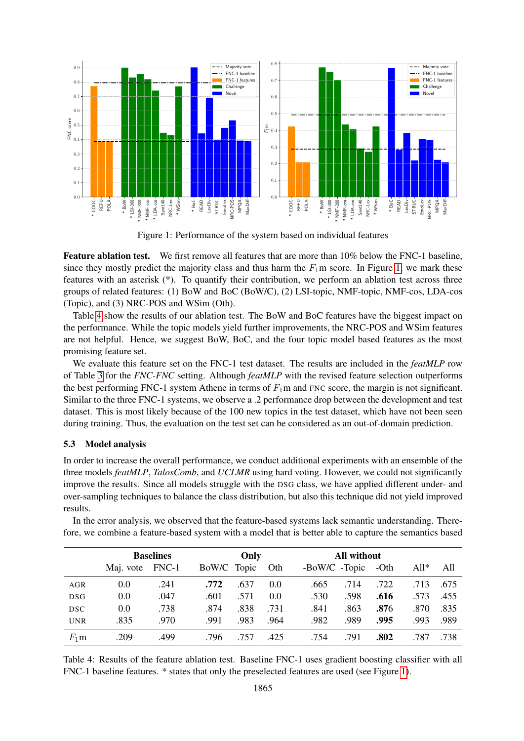<span id="page-6-0"></span>

Figure 1: Performance of the system based on individual features

Feature ablation test. We first remove all features that are more than 10% below the FNC-1 baseline, since they mostly predict the majority class and thus harm the  $F_1$ m score. In Figure [1,](#page-6-0) we mark these features with an asterisk (\*). To quantify their contribution, we perform an ablation test across three groups of related features: (1) BoW and BoC (BoW/C), (2) LSI-topic, NMF-topic, NMF-cos, LDA-cos (Topic), and (3) NRC-POS and WSim (Oth).

Table [4](#page-6-1) show the results of our ablation test. The BoW and BoC features have the biggest impact on the performance. While the topic models yield further improvements, the NRC-POS and WSim features are not helpful. Hence, we suggest BoW, BoC, and the four topic model based features as the most promising feature set.

We evaluate this feature set on the FNC-1 test dataset. The results are included in the *featMLP* row of Table [3](#page-3-1) for the *FNC-FNC* setting. Although *featMLP* with the revised feature selection outperforms the best performing FNC-1 system Athene in terms of  $F_1$ m and FNC score, the margin is not significant. Similar to the three FNC-1 systems, we observe a .2 performance drop between the development and test dataset. This is most likely because of the 100 new topics in the test dataset, which have not been seen during training. Thus, the evaluation on the test set can be considered as an out-of-domain prediction.

#### 5.3 Model analysis

In order to increase the overall performance, we conduct additional experiments with an ensemble of the three models *featMLP*, *TalosComb*, and *UCLMR* using hard voting. However, we could not significantly improve the results. Since all models struggle with the DSG class, we have applied different under- and over-sampling techniques to balance the class distribution, but also this technique did not yield improved results.

In the error analysis, we observed that the feature-based systems lack semantic understanding. Therefore, we combine a feature-based system with a model that is better able to capture the semantics based

<span id="page-6-1"></span>

|            | <b>Baselines</b> |      | Only        |      |      | All without   |      |      |        |      |
|------------|------------------|------|-------------|------|------|---------------|------|------|--------|------|
|            | Maj. vote FNC-1  |      | BoW/C Topic |      | Oth  | -BoW/C -Topic |      | -Oth | $All*$ | All  |
| <b>AGR</b> | 0.0              | .241 | .772        | .637 | 0.0  | .665          | .714 | .722 | .713   | .675 |
| <b>DSG</b> | 0.0              | .047 | .601        | .571 | 0.0  | .530          | .598 | .616 | .573   | .455 |
| DSC        | 0.0              | .738 | .874        | .838 | .731 | .841          | .863 | .876 | .870   | .835 |
| <b>UNR</b> | .835             | .970 | .991        | .983 | .964 | .982          | .989 | .995 | .993   | .989 |
| $F_1$ m    | .209             | .499 | .796        | .757 | .425 | .754          | .791 | .802 | .787   | .738 |

Table 4: Results of the feature ablation test. Baseline FNC-1 uses gradient boosting classifier with all FNC-1 baseline features. \* states that only the preselected features are used (see Figure [1\)](#page-6-0).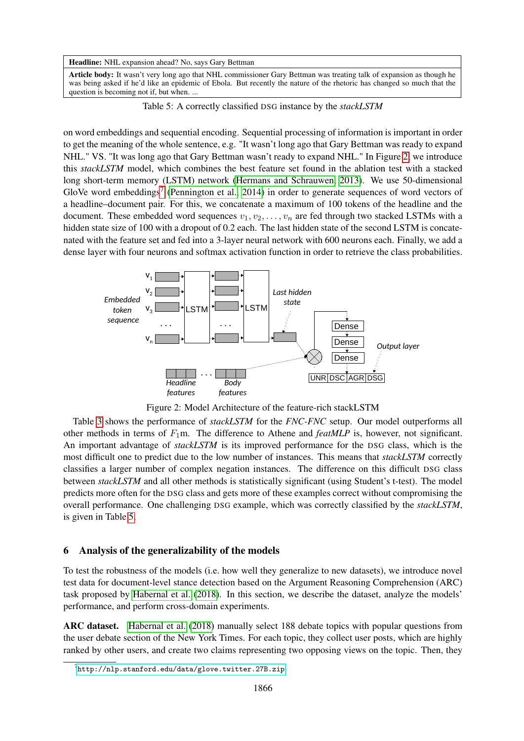#### <span id="page-7-2"></span>Headline: NHL expansion ahead? No, says Gary Bettman

Article body: It wasn't very long ago that NHL commissioner Gary Bettman was treating talk of expansion as though he was being asked if he'd like an epidemic of Ebola. But recently the nature of the rhetoric has changed so much that the question is becoming not if, but when. ...

Table 5: A correctly classified DSG instance by the *stackLSTM*

on word embeddings and sequential encoding. Sequential processing of information is important in order to get the meaning of the whole sentence, e.g. "It wasn't long ago that Gary Bettman was ready to expand NHL." VS. "It was long ago that Gary Bettman wasn't ready to expand NHL." In Figure [2,](#page-7-0) we introduce this *stackLSTM* model, which combines the best feature set found in the ablation test with a stacked long short-term memory (LSTM) network [\(Hermans and Schrauwen, 2013\)](#page-10-12). We use 50-dimensional GloVe word embeddings<sup>[7](#page-7-1)</sup> [\(Pennington et al., 2014\)](#page-11-15) in order to generate sequences of word vectors of a headline–document pair. For this, we concatenate a maximum of 100 tokens of the headline and the document. These embedded word sequences  $v_1, v_2, \ldots, v_n$  are fed through two stacked LSTMs with a hidden state size of 100 with a dropout of 0.2 each. The last hidden state of the second LSTM is concatenated with the feature set and fed into a 3-layer neural network with 600 neurons each. Finally, we add a dense layer with four neurons and softmax activation function in order to retrieve the class probabilities.

<span id="page-7-0"></span>

Figure 2: Model Architecture of the feature-rich stackLSTM

Table [3](#page-3-1) shows the performance of *stackLSTM* for the *FNC-FNC* setup. Our model outperforms all other methods in terms of F1m. The difference to Athene and *featMLP* is, however, not significant. An important advantage of *stackLSTM* is its improved performance for the DSG class, which is the most difficult one to predict due to the low number of instances. This means that *stackLSTM* correctly classifies a larger number of complex negation instances. The difference on this difficult DSG class between *stackLSTM* and all other methods is statistically significant (using Student's t-test). The model predicts more often for the DSG class and gets more of these examples correct without compromising the overall performance. One challenging DSG example, which was correctly classified by the *stackLSTM*, is given in Table [5.](#page-7-2)

#### 6 Analysis of the generalizability of the models

To test the robustness of the models (i.e. how well they generalize to new datasets), we introduce novel test data for document-level stance detection based on the Argument Reasoning Comprehension (ARC) task proposed by [Habernal et al.](#page-10-13) [\(2018\)](#page-10-13). In this section, we describe the dataset, analyze the models' performance, and perform cross-domain experiments.

ARC dataset. [Habernal et al.](#page-10-13) [\(2018\)](#page-10-13) manually select 188 debate topics with popular questions from the user debate section of the New York Times. For each topic, they collect user posts, which are highly ranked by other users, and create two claims representing two opposing views on the topic. Then, they

<span id="page-7-1"></span> $^{7}$ <http://nlp.stanford.edu/data/glove.twitter.27B.zip>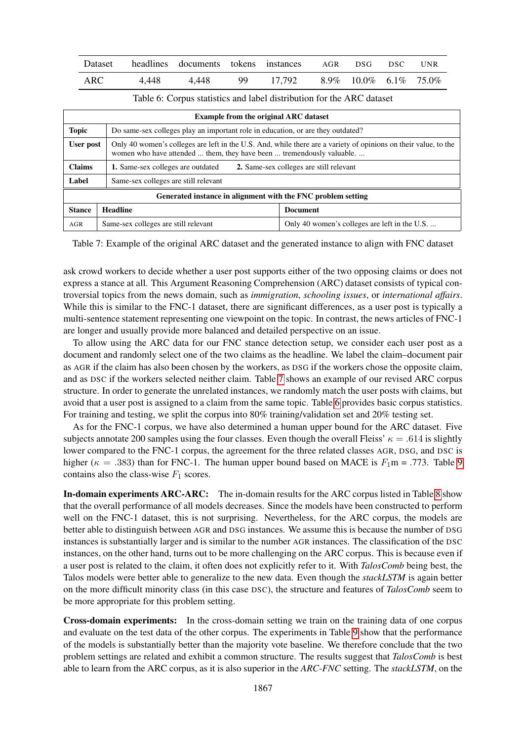<span id="page-8-1"></span>

| Dataset | headlines documents tokens instances AGR DSG DSC UNR |                                 |  |  |
|---------|------------------------------------------------------|---------------------------------|--|--|
| ARC     | 4.448 4.448                                          | 99 17,792 8.9% 10.0% 6.1% 75.0% |  |  |

<span id="page-8-0"></span>

| <b>Example from the original ARC dataset</b> |                                                                                                                                                                                          |                                                                                 |  |  |  |  |  |  |
|----------------------------------------------|------------------------------------------------------------------------------------------------------------------------------------------------------------------------------------------|---------------------------------------------------------------------------------|--|--|--|--|--|--|
| <b>Topic</b>                                 |                                                                                                                                                                                          | Do same-sex colleges play an important role in education, or are they outdated? |  |  |  |  |  |  |
| User post                                    | Only 40 women's colleges are left in the U.S. And, while there are a variety of opinions on their value, to the<br>women who have attended  them, they have been  tremendously valuable. |                                                                                 |  |  |  |  |  |  |
| <b>Claims</b>                                | 2. Same-sex colleges are still relevant<br>1. Same-sex colleges are outdated                                                                                                             |                                                                                 |  |  |  |  |  |  |
| Label                                        | Same-sex colleges are still relevant                                                                                                                                                     |                                                                                 |  |  |  |  |  |  |
|                                              | Generated instance in alignment with the FNC problem setting                                                                                                                             |                                                                                 |  |  |  |  |  |  |
| <b>Stance</b>                                | <b>Headline</b>                                                                                                                                                                          | <b>Document</b>                                                                 |  |  |  |  |  |  |
| AGR                                          | Same-sex colleges are still relevant                                                                                                                                                     | Only 40 women's colleges are left in the U.S                                    |  |  |  |  |  |  |

Table 7: Example of the original ARC dataset and the generated instance to align with FNC dataset

ask crowd workers to decide whether a user post supports either of the two opposing claims or does not express a stance at all. This Argument Reasoning Comprehension (ARC) dataset consists of typical controversial topics from the news domain, such as *immigration*, *schooling issues*, or *international affairs*. While this is similar to the FNC-1 dataset, there are significant differences, as a user post is typically a multi-sentence statement representing one viewpoint on the topic. In contrast, the news articles of FNC-1 are longer and usually provide more balanced and detailed perspective on an issue.

To allow using the ARC data for our FNC stance detection setup, we consider each user post as a document and randomly select one of the two claims as the headline. We label the claim–document pair as AGR if the claim has also been chosen by the workers, as DSG if the workers chose the opposite claim, and as DSC if the workers selected neither claim. Table [7](#page-8-0) shows an example of our revised ARC corpus structure. In order to generate the unrelated instances, we randomly match the user posts with claims, but avoid that a user post is assigned to a claim from the same topic. Table [6](#page-8-1) provides basic corpus statistics. For training and testing, we split the corpus into 80% training/validation set and 20% testing set.

As for the FNC-1 corpus, we have also determined a human upper bound for the ARC dataset. Five subjects annotate 200 samples using the four classes. Even though the overall Fleiss'  $\kappa = .614$  is slightly lower compared to the FNC-1 corpus, the agreement for the three related classes AGR, DSG, and DSC is higher ( $\kappa = .383$ ) than for FNC-1. The human upper bound based on MACE is  $F_1$ m = .773. Table [9](#page-9-1) contains also the class-wise  $F_1$  scores.

In-domain experiments ARC-ARC: The in-domain results for the ARC corpus listed in Table [8](#page-9-2) show that the overall performance of all models decreases. Since the models have been constructed to perform well on the FNC-1 dataset, this is not surprising. Nevertheless, for the ARC corpus, the models are better able to distinguish between AGR and DSG instances. We assume this is because the number of DSG instances is substantially larger and is similar to the number AGR instances. The classification of the DSC instances, on the other hand, turns out to be more challenging on the ARC corpus. This is because even if a user post is related to the claim, it often does not explicitly refer to it. With *TalosComb* being best, the Talos models were better able to generalize to the new data. Even though the *stackLSTM* is again better on the more difficult minority class (in this case DSC), the structure and features of *TalosComb* seem to be more appropriate for this problem setting.

Cross-domain experiments: In the cross-domain setting we train on the training data of one corpus and evaluate on the test data of the other corpus. The experiments in Table [9](#page-9-1) show that the performance of the models is substantially better than the majority vote baseline. We therefore conclude that the two problem settings are related and exhibit a common structure. The results suggest that *TalosComb* is best able to learn from the ARC corpus, as it is also superior in the *ARC-FNC* setting. The *stackLSTM*, on the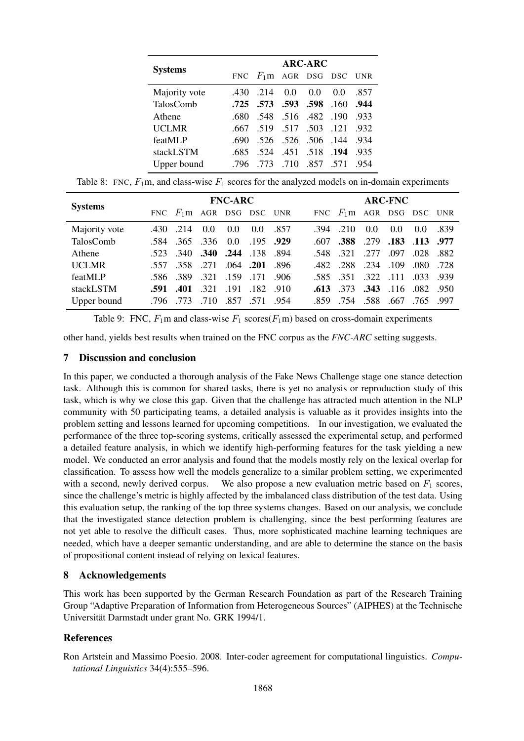<span id="page-9-2"></span>

|                | <b>ARC-ARC</b> |                               |                     |     |                     |      |  |  |  |  |
|----------------|----------------|-------------------------------|---------------------|-----|---------------------|------|--|--|--|--|
| <b>Systems</b> |                | FNC $F_1$ m AGR DSG DSC UNR   |                     |     |                     |      |  |  |  |  |
| Majority vote  | .430           | .214                          | 0.0                 | 0.0 | 0.0                 | .857 |  |  |  |  |
| TalosComb      |                | .725 .573 .593 .598 .160 .944 |                     |     |                     |      |  |  |  |  |
| Athene         | .680           | .548 .516 .482 .190           |                     |     |                     | -933 |  |  |  |  |
| <b>UCLMR</b>   | .667           |                               |                     |     | 519 517 503 121     | .932 |  |  |  |  |
| featMLP        | -690           |                               |                     |     | .526 .526 .506 .144 | .934 |  |  |  |  |
| stackLSTM      | -685           |                               | .524 .451 .518 .194 |     |                     | .935 |  |  |  |  |
| Upper bound    | -796           |                               | 773 710 857 571     |     |                     | .954 |  |  |  |  |

Table 8: FNC,  $F_1$ m, and class-wise  $F_1$  scores for the analyzed models on in-domain experiments

<span id="page-9-1"></span>

| <b>Systems</b> | <b>FNC-ARC</b> |                               |                          |               |             |      | <b>ARC-FNC</b> |                               |                |               |               |       |
|----------------|----------------|-------------------------------|--------------------------|---------------|-------------|------|----------------|-------------------------------|----------------|---------------|---------------|-------|
|                |                | FNC $F_1$ m AGR DSG DSC UNR   |                          |               |             |      |                | FNC $F_1$ m AGR DSG DSC UNR   |                |               |               |       |
| Majority vote  |                | $.430$ $.214$                 | $0.0^{\circ}$            | $0.0^{\circ}$ | 0.0         | .857 |                | $.394$ $.210$                 | 0.0            | $0.0^{\circ}$ | $0.0^{\circ}$ | .839  |
| TalosComb      |                | .584 .365 .336 0.0            |                          |               | $.195$ .929 |      |                | $.607$ .388                   | .279 .183 .113 |               |               | .977  |
| Athene         |                | .523 .340 .340 .244 .138 .894 |                          |               |             |      |                | .548 .321                     | .277.097       |               | .028          | .882  |
| <b>UCLMR</b>   |                | .557 .358 .271 .064 .201 .896 |                          |               |             |      |                | .482 .288 .234 .109 .080 .728 |                |               |               |       |
| featMLP        |                | .586 .389 .321 .159 .171 .906 |                          |               |             |      |                | .585 .351 .322 .111 .033      |                |               |               | - 939 |
| stackLSTM      | .591           |                               | .401 .321 .191 .182 .910 |               |             |      |                | $.613$ $.373$                 | .343 .116 .082 |               |               | .950  |
| Upper bound    |                | .796773                       | .710                     | .857.571.954  |             |      |                | .859 .754 .588                |                | .667.765      |               | .997  |

Table 9: FNC,  $F_1$ m and class-wise  $F_1$  scores( $F_1$ m) based on cross-domain experiments

other hand, yields best results when trained on the FNC corpus as the *FNC-ARC* setting suggests.

## 7 Discussion and conclusion

In this paper, we conducted a thorough analysis of the Fake News Challenge stage one stance detection task. Although this is common for shared tasks, there is yet no analysis or reproduction study of this task, which is why we close this gap. Given that the challenge has attracted much attention in the NLP community with 50 participating teams, a detailed analysis is valuable as it provides insights into the problem setting and lessons learned for upcoming competitions. In our investigation, we evaluated the performance of the three top-scoring systems, critically assessed the experimental setup, and performed a detailed feature analysis, in which we identify high-performing features for the task yielding a new model. We conducted an error analysis and found that the models mostly rely on the lexical overlap for classification. To assess how well the models generalize to a similar problem setting, we experimented with a second, newly derived corpus. We also propose a new evaluation metric based on  $F_1$  scores, since the challenge's metric is highly affected by the imbalanced class distribution of the test data. Using this evaluation setup, the ranking of the top three systems changes. Based on our analysis, we conclude that the investigated stance detection problem is challenging, since the best performing features are not yet able to resolve the difficult cases. Thus, more sophisticated machine learning techniques are needed, which have a deeper semantic understanding, and are able to determine the stance on the basis of propositional content instead of relying on lexical features.

## 8 Acknowledgements

This work has been supported by the German Research Foundation as part of the Research Training Group "Adaptive Preparation of Information from Heterogeneous Sources" (AIPHES) at the Technische Universität Darmstadt under grant No. GRK 1994/1.

## References

<span id="page-9-0"></span>Ron Artstein and Massimo Poesio. 2008. Inter-coder agreement for computational linguistics. *Computational Linguistics* 34(4):555–596.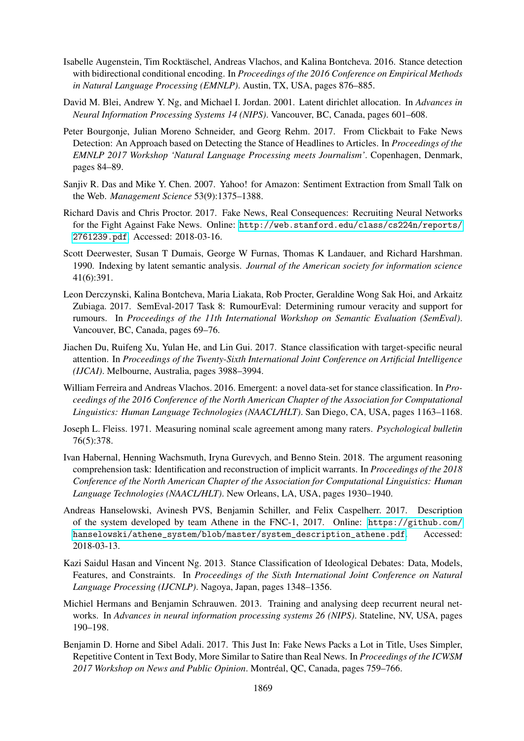- <span id="page-10-1"></span>Isabelle Augenstein, Tim Rocktäschel, Andreas Vlachos, and Kalina Bontcheva. 2016. Stance detection with bidirectional conditional encoding. In *Proceedings of the 2016 Conference on Empirical Methods in Natural Language Processing (EMNLP)*. Austin, TX, USA, pages 876–885.
- <span id="page-10-9"></span>David M. Blei, Andrew Y. Ng, and Michael I. Jordan. 2001. Latent dirichlet allocation. In *Advances in Neural Information Processing Systems 14 (NIPS)*. Vancouver, BC, Canada, pages 601–608.
- <span id="page-10-6"></span>Peter Bourgonje, Julian Moreno Schneider, and Georg Rehm. 2017. From Clickbait to Fake News Detection: An Approach based on Detecting the Stance of Headlines to Articles. In *Proceedings of the EMNLP 2017 Workshop 'Natural Language Processing meets Journalism'*. Copenhagen, Denmark, pages 84–89.
- <span id="page-10-14"></span>Sanjiv R. Das and Mike Y. Chen. 2007. Yahoo! for Amazon: Sentiment Extraction from Small Talk on the Web. *Management Science* 53(9):1375–1388.
- <span id="page-10-7"></span>Richard Davis and Chris Proctor. 2017. Fake News, Real Consequences: Recruiting Neural Networks for the Fight Against Fake News. Online: [http://web.stanford.edu/class/cs224n/reports/](http://web.stanford.edu/class/cs224n/reports/2761239.pdf) [2761239.pdf](http://web.stanford.edu/class/cs224n/reports/2761239.pdf). Accessed: 2018-03-16.
- <span id="page-10-10"></span>Scott Deerwester, Susan T Dumais, George W Furnas, Thomas K Landauer, and Richard Harshman. 1990. Indexing by latent semantic analysis. *Journal of the American society for information science* 41(6):391.
- <span id="page-10-0"></span>Leon Derczynski, Kalina Bontcheva, Maria Liakata, Rob Procter, Geraldine Wong Sak Hoi, and Arkaitz Zubiaga. 2017. SemEval-2017 Task 8: RumourEval: Determining rumour veracity and support for rumours. In *Proceedings of the 11th International Workshop on Semantic Evaluation (SemEval)*. Vancouver, BC, Canada, pages 69–76.
- <span id="page-10-2"></span>Jiachen Du, Ruifeng Xu, Yulan He, and Lin Gui. 2017. Stance classification with target-specific neural attention. In *Proceedings of the Twenty-Sixth International Joint Conference on Artificial Intelligence (IJCAI)*. Melbourne, Australia, pages 3988–3994.
- <span id="page-10-4"></span>William Ferreira and Andreas Vlachos. 2016. Emergent: a novel data-set for stance classification. In *Proceedings of the 2016 Conference of the North American Chapter of the Association for Computational Linguistics: Human Language Technologies (NAACL/HLT)*. San Diego, CA, USA, pages 1163–1168.
- <span id="page-10-8"></span>Joseph L. Fleiss. 1971. Measuring nominal scale agreement among many raters. *Psychological bulletin* 76(5):378.
- <span id="page-10-13"></span>Ivan Habernal, Henning Wachsmuth, Iryna Gurevych, and Benno Stein. 2018. The argument reasoning comprehension task: Identification and reconstruction of implicit warrants. In *Proceedings of the 2018 Conference of the North American Chapter of the Association for Computational Linguistics: Human Language Technologies (NAACL/HLT)*. New Orleans, LA, USA, pages 1930–1940.
- <span id="page-10-5"></span>Andreas Hanselowski, Avinesh PVS, Benjamin Schiller, and Felix Caspelherr. 2017. Description of the system developed by team Athene in the FNC-1, 2017. Online: [https://github.com/](https://github.com/hanselowski/athene_ system/blob/master/system_description_athene.pdf) [hanselowski/athene\\_system/blob/master/system\\_description\\_athene.pdf](https://github.com/hanselowski/athene_ system/blob/master/system_description_athene.pdf). Accessed: 2018-03-13.
- <span id="page-10-3"></span>Kazi Saidul Hasan and Vincent Ng. 2013. Stance Classification of Ideological Debates: Data, Models, Features, and Constraints. In *Proceedings of the Sixth International Joint Conference on Natural Language Processing (IJCNLP)*. Nagoya, Japan, pages 1348–1356.
- <span id="page-10-12"></span>Michiel Hermans and Benjamin Schrauwen. 2013. Training and analysing deep recurrent neural networks. In *Advances in neural information processing systems 26 (NIPS)*. Stateline, NV, USA, pages 190–198.
- <span id="page-10-11"></span>Benjamin D. Horne and Sibel Adali. 2017. This Just In: Fake News Packs a Lot in Title, Uses Simpler, Repetitive Content in Text Body, More Similar to Satire than Real News. In *Proceedings of the ICWSM 2017 Workshop on News and Public Opinion*. Montréal, QC, Canada, pages 759–766.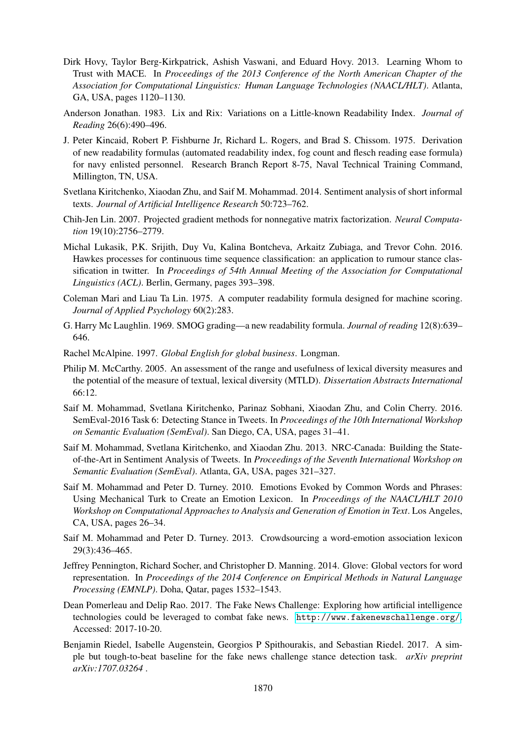- <span id="page-11-4"></span>Dirk Hovy, Taylor Berg-Kirkpatrick, Ashish Vaswani, and Eduard Hovy. 2013. Learning Whom to Trust with MACE. In *Proceedings of the 2013 Conference of the North American Chapter of the Association for Computational Linguistics: Human Language Technologies (NAACL/HLT)*. Atlanta, GA, USA, pages 1120–1130.
- <span id="page-11-10"></span>Anderson Jonathan. 1983. Lix and Rix: Variations on a Little-known Readability Index. *Journal of Reading* 26(6):490–496.
- <span id="page-11-8"></span>J. Peter Kincaid, Robert P. Fishburne Jr, Richard L. Rogers, and Brad S. Chissom. 1975. Derivation of new readability formulas (automated readability index, fog count and flesch reading ease formula) for navy enlisted personnel. Research Branch Report 8-75, Naval Technical Training Command, Millington, TN, USA.
- <span id="page-11-13"></span>Svetlana Kiritchenko, Xiaodan Zhu, and Saif M. Mohammad. 2014. Sentiment analysis of short informal texts. *Journal of Artificial Intelligence Research* 50:723–762.
- <span id="page-11-5"></span>Chih-Jen Lin. 2007. Projected gradient methods for nonnegative matrix factorization. *Neural Computation* 19(10):2756–2779.
- <span id="page-11-1"></span>Michal Lukasik, P.K. Srijith, Duy Vu, Kalina Bontcheva, Arkaitz Zubiaga, and Trevor Cohn. 2016. Hawkes processes for continuous time sequence classification: an application to rumour stance classification in twitter. In *Proceedings of 54th Annual Meeting of the Association for Computational Linguistics (ACL)*. Berlin, Germany, pages 393–398.
- <span id="page-11-9"></span>Coleman Mari and Liau Ta Lin. 1975. A computer readability formula designed for machine scoring. *Journal of Applied Psychology* 60(2):283.
- <span id="page-11-7"></span>G. Harry Mc Laughlin. 1969. SMOG grading—a new readability formula. *Journal of reading* 12(8):639– 646.
- <span id="page-11-11"></span>Rachel McAlpine. 1997. *Global English for global business*. Longman.
- <span id="page-11-12"></span>Philip M. McCarthy. 2005. An assessment of the range and usefulness of lexical diversity measures and the potential of the measure of textual, lexical diversity (MTLD). *Dissertation Abstracts International* 66:12.
- <span id="page-11-2"></span>Saif M. Mohammad, Svetlana Kiritchenko, Parinaz Sobhani, Xiaodan Zhu, and Colin Cherry. 2016. SemEval-2016 Task 6: Detecting Stance in Tweets. In *Proceedings of the 10th International Workshop on Semantic Evaluation (SemEval)*. San Diego, CA, USA, pages 31–41.
- <span id="page-11-6"></span>Saif M. Mohammad, Svetlana Kiritchenko, and Xiaodan Zhu. 2013. NRC-Canada: Building the Stateof-the-Art in Sentiment Analysis of Tweets. In *Proceedings of the Seventh International Workshop on Semantic Evaluation (SemEval)*. Atlanta, GA, USA, pages 321–327.
- <span id="page-11-14"></span>Saif M. Mohammad and Peter D. Turney. 2010. Emotions Evoked by Common Words and Phrases: Using Mechanical Turk to Create an Emotion Lexicon. In *Proceedings of the NAACL/HLT 2010 Workshop on Computational Approaches to Analysis and Generation of Emotion in Text*. Los Angeles, CA, USA, pages 26–34.
- <span id="page-11-16"></span>Saif M. Mohammad and Peter D. Turney. 2013. Crowdsourcing a word-emotion association lexicon 29(3):436–465.
- <span id="page-11-15"></span>Jeffrey Pennington, Richard Socher, and Christopher D. Manning. 2014. Glove: Global vectors for word representation. In *Proceedings of the 2014 Conference on Empirical Methods in Natural Language Processing (EMNLP)*. Doha, Qatar, pages 1532–1543.
- <span id="page-11-0"></span>Dean Pomerleau and Delip Rao. 2017. The Fake News Challenge: Exploring how artificial intelligence technologies could be leveraged to combat fake news. <http://www.fakenewschallenge.org/>. Accessed: 2017-10-20.
- <span id="page-11-3"></span>Benjamin Riedel, Isabelle Augenstein, Georgios P Spithourakis, and Sebastian Riedel. 2017. A simple but tough-to-beat baseline for the fake news challenge stance detection task. *arXiv preprint arXiv:1707.03264* .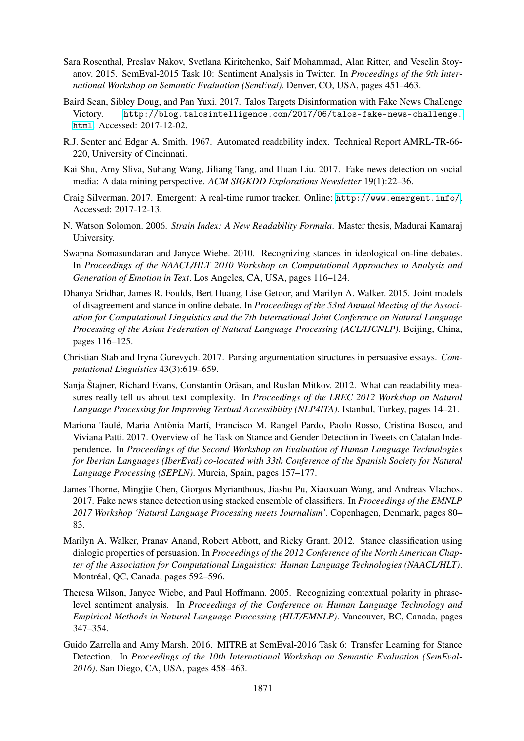- <span id="page-12-14"></span>Sara Rosenthal, Preslav Nakov, Svetlana Kiritchenko, Saif Mohammad, Alan Ritter, and Veselin Stoyanov. 2015. SemEval-2015 Task 10: Sentiment Analysis in Twitter. In *Proceedings of the 9th International Workshop on Semantic Evaluation (SemEval)*. Denver, CO, USA, pages 451–463.
- <span id="page-12-6"></span>Baird Sean, Sibley Doug, and Pan Yuxi. 2017. Talos Targets Disinformation with Fake News Challenge Victory. [http://blog.talosintelligence.com/2017/06/talos-fake-news-challenge.](http://blog.talosintelligence.com/2017/06/talos-fake-news-challenge.html) [html](http://blog.talosintelligence.com/2017/06/talos-fake-news-challenge.html). Accessed: 2017-12-02.
- <span id="page-12-10"></span>R.J. Senter and Edgar A. Smith. 1967. Automated readability index. Technical Report AMRL-TR-66- 220, University of Cincinnati.
- <span id="page-12-13"></span>Kai Shu, Amy Sliva, Suhang Wang, Jiliang Tang, and Huan Liu. 2017. Fake news detection on social media: A data mining perspective. *ACM SIGKDD Explorations Newsletter* 19(1):22–36.
- <span id="page-12-8"></span>Craig Silverman. 2017. Emergent: A real-time rumor tracker. Online: <http://www.emergent.info/>. Accessed: 2017-12-13.
- <span id="page-12-11"></span>N. Watson Solomon. 2006. *Strain Index: A New Readability Formula*. Master thesis, Madurai Kamaraj University.
- <span id="page-12-2"></span>Swapna Somasundaran and Janyce Wiebe. 2010. Recognizing stances in ideological on-line debates. In *Proceedings of the NAACL/HLT 2010 Workshop on Computational Approaches to Analysis and Generation of Emotion in Text*. Los Angeles, CA, USA, pages 116–124.
- <span id="page-12-1"></span>Dhanya Sridhar, James R. Foulds, Bert Huang, Lise Getoor, and Marilyn A. Walker. 2015. Joint models of disagreement and stance in online debate. In *Proceedings of the 53rd Annual Meeting of the Association for Computational Linguistics and the 7th International Joint Conference on Natural Language Processing of the Asian Federation of Natural Language Processing (ACL/IJCNLP)*. Beijing, China, pages 116–125.
- <span id="page-12-3"></span>Christian Stab and Iryna Gurevych. 2017. Parsing argumentation structures in persuasive essays. *Computational Linguistics* 43(3):619–659.
- <span id="page-12-9"></span>Sanja Štajner, Richard Evans, Constantin Orasan, and Ruslan Mitkov. 2012. What can readability mea- ˘ sures really tell us about text complexity. In *Proceedings of the LREC 2012 Workshop on Natural Language Processing for Improving Textual Accessibility (NLP4ITA)*. Istanbul, Turkey, pages 14–21.
- <span id="page-12-5"></span>Mariona Taulé, Maria Antònia Martí, Francisco M. Rangel Pardo, Paolo Rosso, Cristina Bosco, and Viviana Patti. 2017. Overview of the Task on Stance and Gender Detection in Tweets on Catalan Independence. In *Proceedings of the Second Workshop on Evaluation of Human Language Technologies for Iberian Languages (IberEval) co-located with 33th Conference of the Spanish Society for Natural Language Processing (SEPLN)*. Murcia, Spain, pages 157–177.
- <span id="page-12-7"></span>James Thorne, Mingjie Chen, Giorgos Myrianthous, Jiashu Pu, Xiaoxuan Wang, and Andreas Vlachos. 2017. Fake news stance detection using stacked ensemble of classifiers. In *Proceedings of the EMNLP 2017 Workshop 'Natural Language Processing meets Journalism'*. Copenhagen, Denmark, pages 80– 83.
- <span id="page-12-0"></span>Marilyn A. Walker, Pranav Anand, Robert Abbott, and Ricky Grant. 2012. Stance classification using dialogic properties of persuasion. In *Proceedings of the 2012 Conference of the North American Chapter of the Association for Computational Linguistics: Human Language Technologies (NAACL/HLT)*. Montréal, QC, Canada, pages 592–596.
- <span id="page-12-12"></span>Theresa Wilson, Janyce Wiebe, and Paul Hoffmann. 2005. Recognizing contextual polarity in phraselevel sentiment analysis. In *Proceedings of the Conference on Human Language Technology and Empirical Methods in Natural Language Processing (HLT/EMNLP)*. Vancouver, BC, Canada, pages 347–354.
- <span id="page-12-4"></span>Guido Zarrella and Amy Marsh. 2016. MITRE at SemEval-2016 Task 6: Transfer Learning for Stance Detection. In *Proceedings of the 10th International Workshop on Semantic Evaluation (SemEval-2016)*. San Diego, CA, USA, pages 458–463.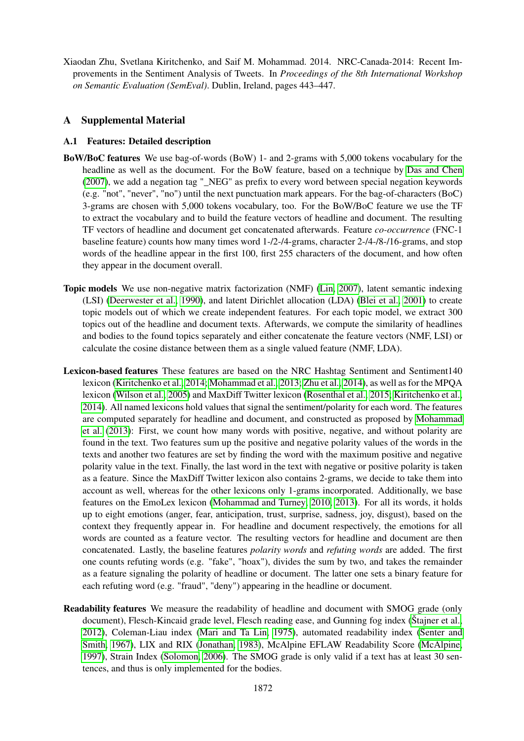<span id="page-13-1"></span>Xiaodan Zhu, Svetlana Kiritchenko, and Saif M. Mohammad. 2014. NRC-Canada-2014: Recent Improvements in the Sentiment Analysis of Tweets. In *Proceedings of the 8th International Workshop on Semantic Evaluation (SemEval)*. Dublin, Ireland, pages 443–447.

## A Supplemental Material

### <span id="page-13-0"></span>A.1 Features: Detailed description

- BoW/BoC features We use bag-of-words (BoW) 1- and 2-grams with 5,000 tokens vocabulary for the headline as well as the document. For the BoW feature, based on a technique by [Das and Chen](#page-10-14) [\(2007\)](#page-10-14), we add a negation tag "\_NEG" as prefix to every word between special negation keywords (e.g. "not", "never", "no") until the next punctuation mark appears. For the bag-of-characters (BoC) 3-grams are chosen with 5,000 tokens vocabulary, too. For the BoW/BoC feature we use the TF to extract the vocabulary and to build the feature vectors of headline and document. The resulting TF vectors of headline and document get concatenated afterwards. Feature *co-occurrence* (FNC-1 baseline feature) counts how many times word 1-/2-/4-grams, character 2-/4-/8-/16-grams, and stop words of the headline appear in the first 100, first 255 characters of the document, and how often they appear in the document overall.
- Topic models We use non-negative matrix factorization (NMF) [\(Lin, 2007\)](#page-11-5), latent semantic indexing (LSI) [\(Deerwester et al., 1990\)](#page-10-10), and latent Dirichlet allocation (LDA) [\(Blei et al., 2001\)](#page-10-9) to create topic models out of which we create independent features. For each topic model, we extract 300 topics out of the headline and document texts. Afterwards, we compute the similarity of headlines and bodies to the found topics separately and either concatenate the feature vectors (NMF, LSI) or calculate the cosine distance between them as a single valued feature (NMF, LDA).
- Lexicon-based features These features are based on the NRC Hashtag Sentiment and Sentiment140 lexicon [\(Kiritchenko et al., 2014;](#page-11-13) [Mohammad et al., 2013;](#page-11-6) [Zhu et al., 2014\)](#page-13-1), as well as for the MPQA lexicon [\(Wilson et al., 2005\)](#page-12-12) and MaxDiff Twitter lexicon [\(Rosenthal et al., 2015;](#page-12-14) [Kiritchenko et al.,](#page-11-13) [2014\)](#page-11-13). All named lexicons hold values that signal the sentiment/polarity for each word. The features are computed separately for headline and document, and constructed as proposed by [Mohammad](#page-11-6) [et al.](#page-11-6) [\(2013\)](#page-11-6): First, we count how many words with positive, negative, and without polarity are found in the text. Two features sum up the positive and negative polarity values of the words in the texts and another two features are set by finding the word with the maximum positive and negative polarity value in the text. Finally, the last word in the text with negative or positive polarity is taken as a feature. Since the MaxDiff Twitter lexicon also contains 2-grams, we decide to take them into account as well, whereas for the other lexicons only 1-grams incorporated. Additionally, we base features on the EmoLex lexicon [\(Mohammad and Turney, 2010,](#page-11-14) [2013\)](#page-11-16). For all its words, it holds up to eight emotions (anger, fear, anticipation, trust, surprise, sadness, joy, disgust), based on the context they frequently appear in. For headline and document respectively, the emotions for all words are counted as a feature vector. The resulting vectors for headline and document are then concatenated. Lastly, the baseline features *polarity words* and *refuting words* are added. The first one counts refuting words (e.g. "fake", "hoax"), divides the sum by two, and takes the remainder as a feature signaling the polarity of headline or document. The latter one sets a binary feature for each refuting word (e.g. "fraud", "deny") appearing in the headline or document.
- Readability features We measure the readability of headline and document with SMOG grade (only document), Flesch-Kincaid grade level, Flesch reading ease, and Gunning fog index [\(Štajner et al.,](#page-12-9) [2012\)](#page-12-9), Coleman-Liau index [\(Mari and Ta Lin, 1975\)](#page-11-9), automated readability index [\(Senter and](#page-12-10) [Smith, 1967\)](#page-12-10), LIX and RIX [\(Jonathan, 1983\)](#page-11-10), McAlpine EFLAW Readability Score [\(McAlpine,](#page-11-11) [1997\)](#page-11-11), Strain Index [\(Solomon, 2006\)](#page-12-11). The SMOG grade is only valid if a text has at least 30 sentences, and thus is only implemented for the bodies.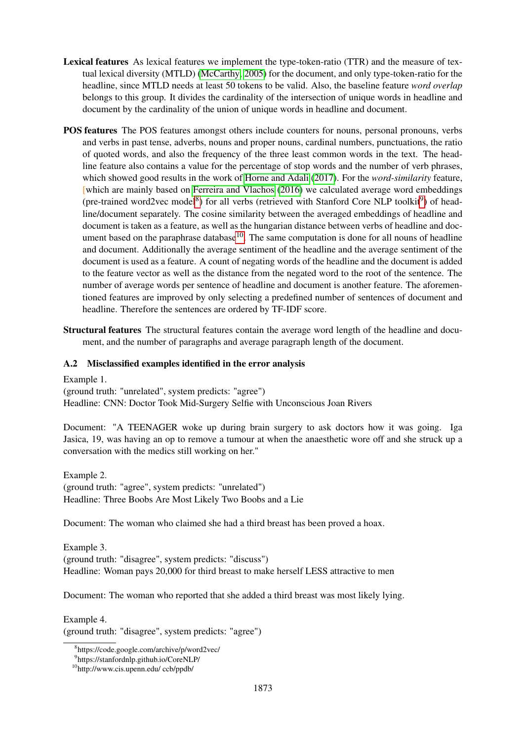- Lexical features As lexical features we implement the type-token-ratio (TTR) and the measure of textual lexical diversity (MTLD) [\(McCarthy, 2005\)](#page-11-12) for the document, and only type-token-ratio for the headline, since MTLD needs at least 50 tokens to be valid. Also, the baseline feature *word overlap* belongs to this group. It divides the cardinality of the intersection of unique words in headline and document by the cardinality of the union of unique words in headline and document.
- POS features The POS features amongst others include counters for nouns, personal pronouns, verbs and verbs in past tense, adverbs, nouns and proper nouns, cardinal numbers, punctuations, the ratio of quoted words, and also the frequency of the three least common words in the text. The headline feature also contains a value for the percentage of stop words and the number of verb phrases, which showed good results in the work of [Horne and Adali](#page-10-11) [\(2017\)](#page-10-11). For the *word-similarity* feature, [which are mainly based on [Ferreira and Vlachos](#page-10-4) [\(2016\)](#page-10-4) we calculated average word embeddings (pre-trained word2vec model<sup>[8](#page-14-1)</sup>) for all verbs (retrieved with Stanford Core NLP toolkit<sup>[9](#page-14-2)</sup>) of headline/document separately. The cosine similarity between the averaged embeddings of headline and document is taken as a feature, as well as the hungarian distance between verbs of headline and document based on the paraphrase database $10$ . The same computation is done for all nouns of headline and document. Additionally the average sentiment of the headline and the average sentiment of the document is used as a feature. A count of negating words of the headline and the document is added to the feature vector as well as the distance from the negated word to the root of the sentence. The number of average words per sentence of headline and document is another feature. The aforementioned features are improved by only selecting a predefined number of sentences of document and headline. Therefore the sentences are ordered by TF-IDF score.
- Structural features The structural features contain the average word length of the headline and document, and the number of paragraphs and average paragraph length of the document.

## <span id="page-14-0"></span>A.2 Misclassified examples identified in the error analysis

Example 1. (ground truth: "unrelated", system predicts: "agree") Headline: CNN: Doctor Took Mid-Surgery Selfie with Unconscious Joan Rivers

Document: "A TEENAGER woke up during brain surgery to ask doctors how it was going. Iga Jasica, 19, was having an op to remove a tumour at when the anaesthetic wore off and she struck up a conversation with the medics still working on her."

Example 2. (ground truth: "agree", system predicts: "unrelated") Headline: Three Boobs Are Most Likely Two Boobs and a Lie

Document: The woman who claimed she had a third breast has been proved a hoax.

Example 3. (ground truth: "disagree", system predicts: "discuss") Headline: Woman pays 20,000 for third breast to make herself LESS attractive to men

Document: The woman who reported that she added a third breast was most likely lying.

Example 4.

(ground truth: "disagree", system predicts: "agree")

<span id="page-14-1"></span><sup>8</sup> https://code.google.com/archive/p/word2vec/

<span id="page-14-2"></span><sup>9</sup> https://stanfordnlp.github.io/CoreNLP/

<span id="page-14-3"></span><sup>10</sup>http://www.cis.upenn.edu/ ccb/ppdb/